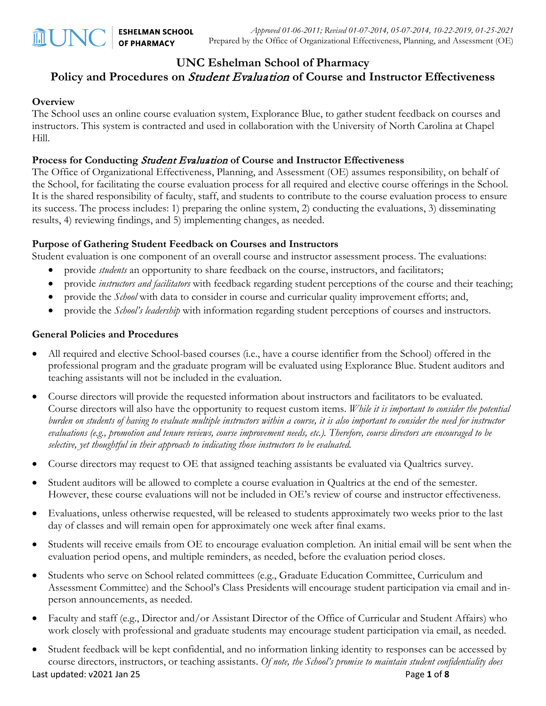## **UNC Eshelman School of Pharmacy**

### **Policy and Procedures on** Student Evaluation **of Course and Instructor Effectiveness**

#### **Overview**

The School uses an online course evaluation system, Explorance Blue, to gather student feedback on courses and instructors. This system is contracted and used in collaboration with the University of North Carolina at Chapel Hill.

#### **Process for Conducting** Student Evaluation **of Course and Instructor Effectiveness**

The Office of Organizational Effectiveness, Planning, and Assessment (OE) assumes responsibility, on behalf of the School, for facilitating the course evaluation process for all required and elective course offerings in the School. It is the shared responsibility of faculty, staff, and students to contribute to the course evaluation process to ensure its success. The process includes: 1) preparing the online system, 2) conducting the evaluations, 3) disseminating results, 4) reviewing findings, and 5) implementing changes, as needed.

#### **Purpose of Gathering Student Feedback on Courses and Instructors**

Student evaluation is one component of an overall course and instructor assessment process. The evaluations:

- provide *students* an opportunity to share feedback on the course, instructors, and facilitators;
- provide *instructors and facilitators* with feedback regarding student perceptions of the course and their teaching;
- provide the *School* with data to consider in course and curricular quality improvement efforts; and,
- provide the *School's leadership* with information regarding student perceptions of courses and instructors.

#### **General Policies and Procedures**

- All required and elective School-based courses (i.e., have a course identifier from the School) offered in the professional program and the graduate program will be evaluated using Explorance Blue. Student auditors and teaching assistants will not be included in the evaluation.
- Course directors will provide the requested information about instructors and facilitators to be evaluated. Course directors will also have the opportunity to request custom items. *While it is important to consider the potential burden on students of having to evaluate multiple instructors within a course, it is also important to consider the need for instructor evaluations (e.g., promotion and tenure reviews, course improvement needs, etc.). Therefore, course directors are encouraged to be selective, yet thoughtful in their approach to indicating those instructors to be evaluated.*
- Course directors may request to OE that assigned teaching assistants be evaluated via Qualtrics survey.
- Student auditors will be allowed to complete a course evaluation in Qualtrics at the end of the semester. However, these course evaluations will not be included in OE's review of course and instructor effectiveness.
- Evaluations, unless otherwise requested, will be released to students approximately two weeks prior to the last day of classes and will remain open for approximately one week after final exams.
- Students will receive emails from OE to encourage evaluation completion. An initial email will be sent when the evaluation period opens, and multiple reminders, as needed, before the evaluation period closes.
- Students who serve on School related committees (e.g., Graduate Education Committee, Curriculum and Assessment Committee) and the School's Class Presidents will encourage student participation via email and inperson announcements, as needed.
- Faculty and staff (e.g., Director and/or Assistant Director of the Office of Curricular and Student Affairs) who work closely with professional and graduate students may encourage student participation via email, as needed.
- Student feedback will be kept confidential, and no information linking identity to responses can be accessed by course directors, instructors, or teaching assistants. *Of note, the School's promise to maintain student confidentiality does*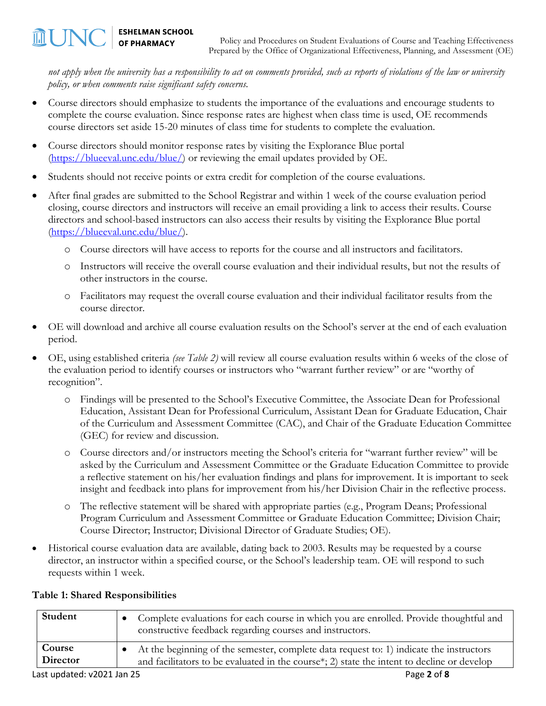*not apply when the university has a responsibility to act on comments provided, such as reports of violations of the law or university policy, or when comments raise significant safety concerns.* 

- Course directors should emphasize to students the importance of the evaluations and encourage students to complete the course evaluation. Since response rates are highest when class time is used, OE recommends course directors set aside 15-20 minutes of class time for students to complete the evaluation.
- Course directors should monitor response rates by visiting the Explorance Blue portal [\(https://blueeval.unc.edu/blue/\)](https://blueeval.unc.edu/blue/) or reviewing the email updates provided by OE.
- Students should not receive points or extra credit for completion of the course evaluations.
- After final grades are submitted to the School Registrar and within 1 week of the course evaluation period closing, course directors and instructors will receive an email providing a link to access their results. Course directors and school-based instructors can also access their results by visiting the Explorance Blue portal [\(https://blueeval.unc.edu/blue/\)](https://blueeval.unc.edu/blue/).
	- o Course directors will have access to reports for the course and all instructors and facilitators.
	- o Instructors will receive the overall course evaluation and their individual results, but not the results of other instructors in the course.
	- o Facilitators may request the overall course evaluation and their individual facilitator results from the course director.
- OE will download and archive all course evaluation results on the School's server at the end of each evaluation period.
- OE, using established criteria *(see Table 2)* will review all course evaluation results within 6 weeks of the close of the evaluation period to identify courses or instructors who "warrant further review" or are "worthy of recognition".
	- o Findings will be presented to the School's Executive Committee, the Associate Dean for Professional Education, Assistant Dean for Professional Curriculum, Assistant Dean for Graduate Education, Chair of the Curriculum and Assessment Committee (CAC), and Chair of the Graduate Education Committee (GEC) for review and discussion.
	- o Course directors and/or instructors meeting the School's criteria for "warrant further review" will be asked by the Curriculum and Assessment Committee or the Graduate Education Committee to provide a reflective statement on his/her evaluation findings and plans for improvement. It is important to seek insight and feedback into plans for improvement from his/her Division Chair in the reflective process.
	- o The reflective statement will be shared with appropriate parties (e.g., Program Deans; Professional Program Curriculum and Assessment Committee or Graduate Education Committee; Division Chair; Course Director; Instructor; Divisional Director of Graduate Studies; OE).
- Historical course evaluation data are available, dating back to 2003. Results may be requested by a course director, an instructor within a specified course, or the School's leadership team. OE will respond to such requests within 1 week.

| Student            | Complete evaluations for each course in which you are enrolled. Provide thoughtful and<br>constructive feedback regarding courses and instructors.                                    |
|--------------------|---------------------------------------------------------------------------------------------------------------------------------------------------------------------------------------|
| Course<br>Director | At the beginning of the semester, complete data request to: 1) indicate the instructors<br>and facilitators to be evaluated in the course*; 2) state the intent to decline or develop |
|                    |                                                                                                                                                                                       |

#### **Table 1: Shared Responsibilities**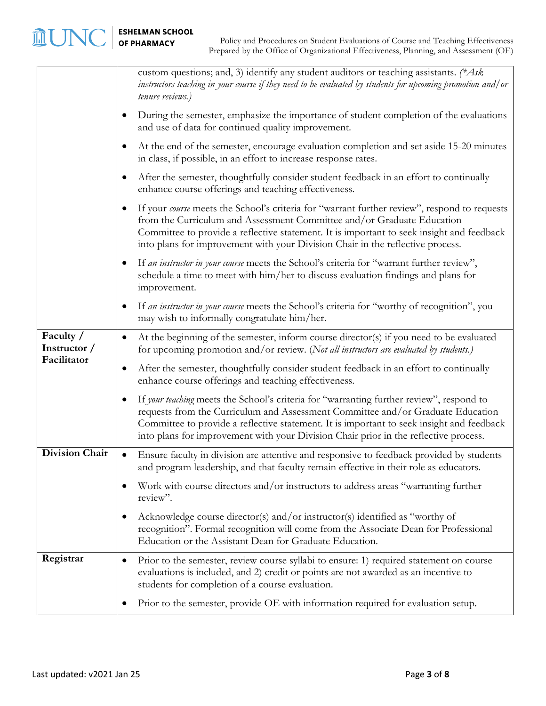|                                          |           | custom questions; and, 3) identify any student auditors or teaching assistants. (*Ask<br>instructors teaching in your course if they need to be evaluated by students for upcoming promotion and/ or<br>tenure reviews.)                                                                                                                                         |
|------------------------------------------|-----------|------------------------------------------------------------------------------------------------------------------------------------------------------------------------------------------------------------------------------------------------------------------------------------------------------------------------------------------------------------------|
|                                          | $\bullet$ | During the semester, emphasize the importance of student completion of the evaluations<br>and use of data for continued quality improvement.                                                                                                                                                                                                                     |
|                                          | $\bullet$ | At the end of the semester, encourage evaluation completion and set aside 15-20 minutes<br>in class, if possible, in an effort to increase response rates.                                                                                                                                                                                                       |
|                                          | $\bullet$ | After the semester, thoughtfully consider student feedback in an effort to continually<br>enhance course offerings and teaching effectiveness.                                                                                                                                                                                                                   |
|                                          | $\bullet$ | If your course meets the School's criteria for "warrant further review", respond to requests<br>from the Curriculum and Assessment Committee and/or Graduate Education<br>Committee to provide a reflective statement. It is important to seek insight and feedback<br>into plans for improvement with your Division Chair in the reflective process.            |
|                                          | $\bullet$ | If an instructor in your course meets the School's criteria for "warrant further review",<br>schedule a time to meet with him/her to discuss evaluation findings and plans for<br>improvement.                                                                                                                                                                   |
|                                          | $\bullet$ | If an instructor in your course meets the School's criteria for "worthy of recognition", you<br>may wish to informally congratulate him/her.                                                                                                                                                                                                                     |
| Faculty /<br>Instructor /<br>Facilitator | $\bullet$ | At the beginning of the semester, inform course director(s) if you need to be evaluated<br>for upcoming promotion and/or review. (Not all instructors are evaluated by students.)                                                                                                                                                                                |
|                                          | $\bullet$ | After the semester, thoughtfully consider student feedback in an effort to continually<br>enhance course offerings and teaching effectiveness.                                                                                                                                                                                                                   |
|                                          | $\bullet$ | If your teaching meets the School's criteria for "warranting further review", respond to<br>requests from the Curriculum and Assessment Committee and/or Graduate Education<br>Committee to provide a reflective statement. It is important to seek insight and feedback<br>into plans for improvement with your Division Chair prior in the reflective process. |
| <b>Division Chair</b>                    | $\bullet$ | Ensure faculty in division are attentive and responsive to feedback provided by students<br>and program leadership, and that faculty remain effective in their role as educators.                                                                                                                                                                                |
|                                          | $\bullet$ | Work with course directors and/or instructors to address areas "warranting further<br>review".                                                                                                                                                                                                                                                                   |
|                                          | $\bullet$ | Acknowledge course director(s) and/or instructor(s) identified as "worthy of<br>recognition". Formal recognition will come from the Associate Dean for Professional<br>Education or the Assistant Dean for Graduate Education.                                                                                                                                   |
| Registrar                                | $\bullet$ | Prior to the semester, review course syllabi to ensure: 1) required statement on course<br>evaluations is included, and 2) credit or points are not awarded as an incentive to<br>students for completion of a course evaluation.                                                                                                                                |
|                                          | $\bullet$ | Prior to the semester, provide OE with information required for evaluation setup.                                                                                                                                                                                                                                                                                |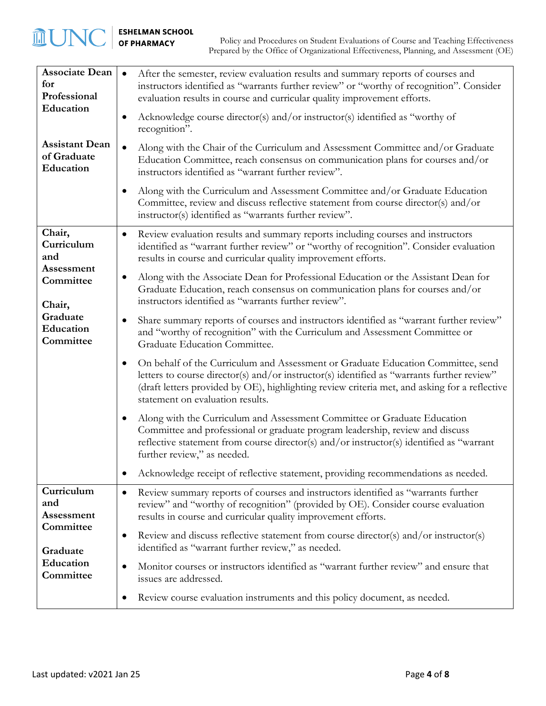**血UNO** 

| <b>Associate Dean</b><br>for<br>Professional      | After the semester, review evaluation results and summary reports of courses and<br>instructors identified as "warrants further review" or "worthy of recognition". Consider<br>evaluation results in course and curricular quality improvement efforts.                                                                 |
|---------------------------------------------------|--------------------------------------------------------------------------------------------------------------------------------------------------------------------------------------------------------------------------------------------------------------------------------------------------------------------------|
| Education                                         | Acknowledge course director(s) and/or instructor(s) identified as "worthy of<br>recognition".                                                                                                                                                                                                                            |
| <b>Assistant Dean</b><br>of Graduate<br>Education | Along with the Chair of the Curriculum and Assessment Committee and/or Graduate<br>Education Committee, reach consensus on communication plans for courses and/or<br>instructors identified as "warrant further review".                                                                                                 |
|                                                   | Along with the Curriculum and Assessment Committee and/or Graduate Education<br>Committee, review and discuss reflective statement from course director(s) and/or<br>instructor(s) identified as "warrants further review".                                                                                              |
| Chair,<br>Curriculum<br>and                       | Review evaluation results and summary reports including courses and instructors<br>٠<br>identified as "warrant further review" or "worthy of recognition". Consider evaluation<br>results in course and curricular quality improvement efforts.                                                                          |
| Assessment<br>Committee<br>Chair,                 | Along with the Associate Dean for Professional Education or the Assistant Dean for<br>Graduate Education, reach consensus on communication plans for courses and/or<br>instructors identified as "warrants further review".                                                                                              |
| Graduate<br>Education<br>Committee                | Share summary reports of courses and instructors identified as "warrant further review"<br>٠<br>and "worthy of recognition" with the Curriculum and Assessment Committee or<br>Graduate Education Committee.                                                                                                             |
|                                                   | On behalf of the Curriculum and Assessment or Graduate Education Committee, send<br>٠<br>letters to course director(s) and/or instructor(s) identified as "warrants further review"<br>(draft letters provided by OE), highlighting review criteria met, and asking for a reflective<br>statement on evaluation results. |
|                                                   | Along with the Curriculum and Assessment Committee or Graduate Education<br>Committee and professional or graduate program leadership, review and discuss<br>reflective statement from course director(s) and/or instructor(s) identified as "warrant<br>further review," as needed.                                     |
|                                                   | Acknowledge receipt of reflective statement, providing recommendations as needed.                                                                                                                                                                                                                                        |
| Curriculum<br>and<br>Assessment                   | Review summary reports of courses and instructors identified as "warrants further<br>$\bullet$<br>review" and "worthy of recognition" (provided by OE). Consider course evaluation<br>results in course and curricular quality improvement efforts.                                                                      |
| Committee<br>Graduate                             | Review and discuss reflective statement from course director(s) and/or instructor(s)<br>٠<br>identified as "warrant further review," as needed.                                                                                                                                                                          |
| Education<br>Committee                            | Monitor courses or instructors identified as "warrant further review" and ensure that<br>$\bullet$<br>issues are addressed.                                                                                                                                                                                              |
|                                                   | Review course evaluation instruments and this policy document, as needed.                                                                                                                                                                                                                                                |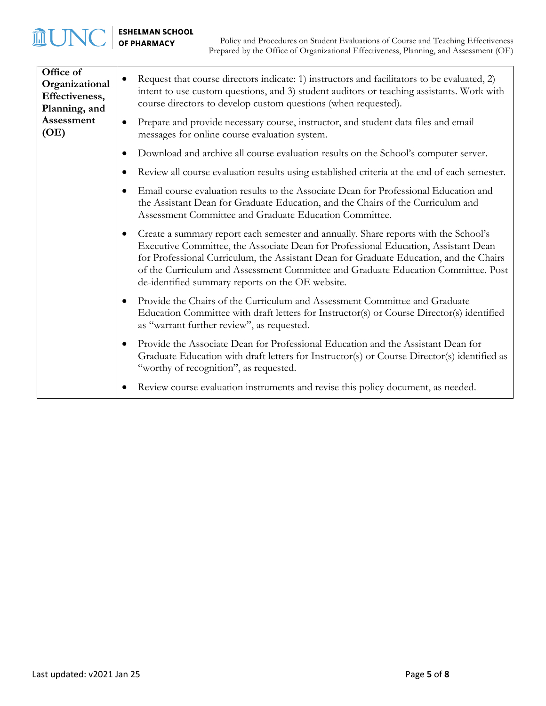# **MUNC** | ESHELMAN SCHOOL

| Office of<br>Organizational<br>Effectiveness,<br>Planning, and<br>Assessment<br>(OE) | $\bullet$ | Request that course directors indicate: 1) instructors and facilitators to be evaluated, 2)<br>intent to use custom questions, and 3) student auditors or teaching assistants. Work with<br>course directors to develop custom questions (when requested).<br>Prepare and provide necessary course, instructor, and student data files and email<br>messages for online course evaluation system.            |
|--------------------------------------------------------------------------------------|-----------|--------------------------------------------------------------------------------------------------------------------------------------------------------------------------------------------------------------------------------------------------------------------------------------------------------------------------------------------------------------------------------------------------------------|
|                                                                                      |           | Download and archive all course evaluation results on the School's computer server.                                                                                                                                                                                                                                                                                                                          |
|                                                                                      |           | Review all course evaluation results using established criteria at the end of each semester.                                                                                                                                                                                                                                                                                                                 |
|                                                                                      |           | Email course evaluation results to the Associate Dean for Professional Education and<br>the Assistant Dean for Graduate Education, and the Chairs of the Curriculum and<br>Assessment Committee and Graduate Education Committee.                                                                                                                                                                            |
|                                                                                      | $\bullet$ | Create a summary report each semester and annually. Share reports with the School's<br>Executive Committee, the Associate Dean for Professional Education, Assistant Dean<br>for Professional Curriculum, the Assistant Dean for Graduate Education, and the Chairs<br>of the Curriculum and Assessment Committee and Graduate Education Committee. Post<br>de-identified summary reports on the OE website. |
|                                                                                      | $\bullet$ | Provide the Chairs of the Curriculum and Assessment Committee and Graduate<br>Education Committee with draft letters for Instructor(s) or Course Director(s) identified<br>as "warrant further review", as requested.                                                                                                                                                                                        |
|                                                                                      |           | Provide the Associate Dean for Professional Education and the Assistant Dean for<br>Graduate Education with draft letters for Instructor(s) or Course Director(s) identified as<br>"worthy of recognition", as requested.                                                                                                                                                                                    |
|                                                                                      |           | Review course evaluation instruments and revise this policy document, as needed.                                                                                                                                                                                                                                                                                                                             |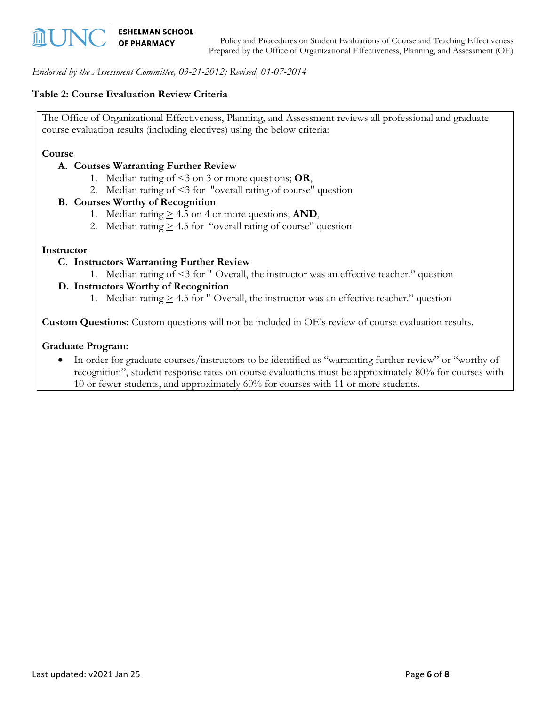*Endorsed by the Assessment Committee, 03-21-2012; Revised, 01-07-2014*

#### **Table 2: Course Evaluation Review Criteria**

The Office of Organizational Effectiveness, Planning, and Assessment reviews all professional and graduate course evaluation results (including electives) using the below criteria:

#### **Course**

#### **A. Courses Warranting Further Review**

- 1. Median rating of <3 on 3 or more questions; **OR**,
- 2. Median rating of <3 for "overall rating of course" question

#### **B. Courses Worthy of Recognition**

- 1. Median rating  $\geq 4.5$  on 4 or more questions; **AND**,
- 2. Median rating  $\geq 4.5$  for "overall rating of course" question

#### **Instructor**

- **C. Instructors Warranting Further Review**
	- 1. Median rating of <3 for " Overall, the instructor was an effective teacher." question

#### **D. Instructors Worthy of Recognition**

1. Median rating  $\geq 4.5$  for " Overall, the instructor was an effective teacher." question

**Custom Questions:** Custom questions will not be included in OE's review of course evaluation results.

#### **Graduate Program:**

• In order for graduate courses/instructors to be identified as "warranting further review" or "worthy of recognition", student response rates on course evaluations must be approximately 80% for courses with 10 or fewer students, and approximately 60% for courses with 11 or more students.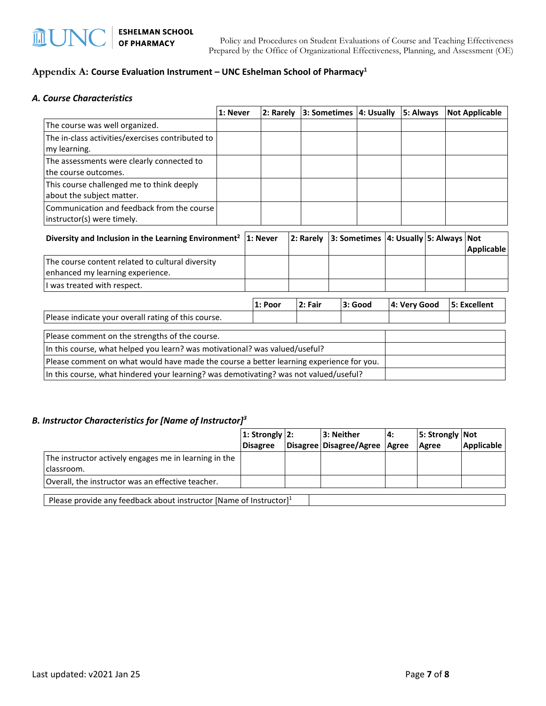#### **Appendix A: Course Evaluation Instrument – UNC Eshelman School of Pharmacy1**

#### *A. Course Characteristics*

|                                                                                         | 1: Never |  | l 2: Rarely |  | 3: Sometimes 4: Usually |  |                                             | 5: Always    |  | <b>Not Applicable</b> |
|-----------------------------------------------------------------------------------------|----------|--|-------------|--|-------------------------|--|---------------------------------------------|--------------|--|-----------------------|
| The course was well organized.                                                          |          |  |             |  |                         |  |                                             |              |  |                       |
| The in-class activities/exercises contributed to                                        |          |  |             |  |                         |  |                                             |              |  |                       |
| my learning.                                                                            |          |  |             |  |                         |  |                                             |              |  |                       |
| The assessments were clearly connected to                                               |          |  |             |  |                         |  |                                             |              |  |                       |
| the course outcomes.                                                                    |          |  |             |  |                         |  |                                             |              |  |                       |
| This course challenged me to think deeply                                               |          |  |             |  |                         |  |                                             |              |  |                       |
| about the subject matter.                                                               |          |  |             |  |                         |  |                                             |              |  |                       |
| Communication and feedback from the course                                              |          |  |             |  |                         |  |                                             |              |  |                       |
| instructor(s) were timely.                                                              |          |  |             |  |                         |  |                                             |              |  |                       |
| Diversity and Inclusion in the Learning Environment <sup>2</sup>                        |          |  | 1: Never    |  | 2: Rarely               |  | 3: Sometimes   4: Usually   5: Always   Not |              |  | Applicable            |
| The course content related to cultural diversity                                        |          |  |             |  |                         |  |                                             |              |  |                       |
| enhanced my learning experience.                                                        |          |  |             |  |                         |  |                                             |              |  |                       |
| I was treated with respect.                                                             |          |  |             |  |                         |  |                                             |              |  |                       |
|                                                                                         |          |  | 1: Poor     |  | 2: Fair                 |  | 3: Good                                     | 4: Very Good |  | 5: Excellent          |
| Please indicate your overall rating of this course.                                     |          |  |             |  |                         |  |                                             |              |  |                       |
| Please comment on the strengths of the course.                                          |          |  |             |  |                         |  |                                             |              |  |                       |
| In this course, what helped you learn? was motivational? was valued/useful?             |          |  |             |  |                         |  |                                             |              |  |                       |
| Please comment on what would have made the course a better learning experience for you. |          |  |             |  |                         |  |                                             |              |  |                       |
| In this course, what hindered your learning? was demotivating? was not valued/useful?   |          |  |             |  |                         |  |                                             |              |  |                       |

#### *B. Instructor Characteristics for [Name of Instructor]3*

|                                                                       | $ 1:$ Strongly $ 2:$ |  | 3: Neither                      | l 4: | 5: Strongly   Not |                   |  |  |
|-----------------------------------------------------------------------|----------------------|--|---------------------------------|------|-------------------|-------------------|--|--|
|                                                                       | <b>Disagree</b>      |  | Disagree Disagree/Agree   Agree |      | Agree             | <b>Applicable</b> |  |  |
| The instructor actively engages me in learning in the<br>Iclassroom.  |                      |  |                                 |      |                   |                   |  |  |
| Overall, the instructor was an effective teacher.                     |                      |  |                                 |      |                   |                   |  |  |
| Please provide any feedback about instructor [Name of Instructor] $1$ |                      |  |                                 |      |                   |                   |  |  |